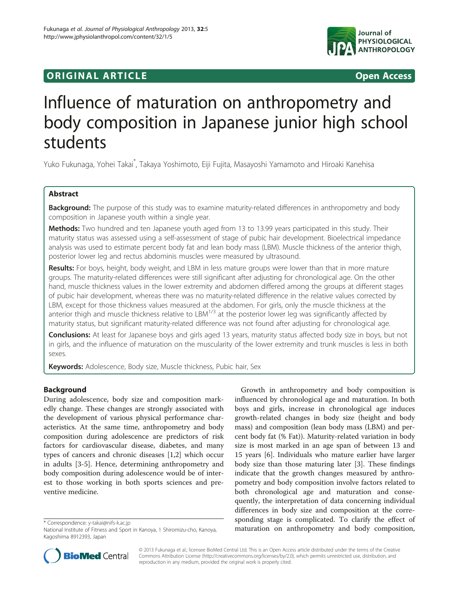# **ORIGINAL ARTICLE CONSUMING A LIGACION** CONSUMING A LIGACION CONSUMING A LIGACION CONSUMING A LIGACION CONSUMING A LIGACION CONSUMING A LIGACION CONSUMING A LIGACION CONSUMING A LIGACION CONSUMING A LIGACION CONSUMING A



# Influence of maturation on anthropometry and body composition in Japanese junior high school students

Yuko Fukunaga, Yohei Takai\* , Takaya Yoshimoto, Eiji Fujita, Masayoshi Yamamoto and Hiroaki Kanehisa

# Abstract

Background: The purpose of this study was to examine maturity-related differences in anthropometry and body composition in Japanese youth within a single year.

Methods: Two hundred and ten Japanese youth aged from 13 to 13.99 years participated in this study. Their maturity status was assessed using a self-assessment of stage of pubic hair development. Bioelectrical impedance analysis was used to estimate percent body fat and lean body mass (LBM). Muscle thickness of the anterior thigh, posterior lower leg and rectus abdominis muscles were measured by ultrasound.

Results: For boys, height, body weight, and LBM in less mature groups were lower than that in more mature groups. The maturity-related differences were still significant after adjusting for chronological age. On the other hand, muscle thickness values in the lower extremity and abdomen differed among the groups at different stages of pubic hair development, whereas there was no maturity-related difference in the relative values corrected by LBM, except for those thickness values measured at the abdomen. For girls, only the muscle thickness at the anterior thigh and muscle thickness relative to LBM<sup>1/3</sup> at the posterior lower leg was significantly affected by maturity status, but significant maturity-related difference was not found after adjusting for chronological age.

Conclusions: At least for Japanese boys and girls aged 13 years, maturity status affected body size in boys, but not in girls, and the influence of maturation on the muscularity of the lower extremity and trunk muscles is less in both sexes.

Keywords: Adolescence, Body size, Muscle thickness, Pubic hair, Sex

# Background

During adolescence, body size and composition markedly change. These changes are strongly associated with the development of various physical performance characteristics. At the same time, anthropometry and body composition during adolescence are predictors of risk factors for cardiovascular disease, diabetes, and many types of cancers and chronic diseases [\[1](#page-7-0),[2](#page-7-0)] which occur in adults [[3-5](#page-7-0)]. Hence, determining anthropometry and body composition during adolescence would be of interest to those working in both sports sciences and preventive medicine.

Growth in anthropometry and body composition is influenced by chronological age and maturation. In both boys and girls, increase in chronological age induces growth-related changes in body size (height and body mass) and composition (lean body mass (LBM) and percent body fat (% Fat)). Maturity-related variation in body size is most marked in an age span of between 13 and 15 years [\[6](#page-7-0)]. Individuals who mature earlier have larger body size than those maturing later [\[3](#page-7-0)]. These findings indicate that the growth changes measured by anthropometry and body composition involve factors related to both chronological age and maturation and consequently, the interpretation of data concerning individual differences in body size and composition at the corresponding stage is complicated. To clarify the effect of \* Correspondence: [y-takai@nifs-k.ac.jp](mailto:y-takai@nifs-k.ac.jp)<br>National Institute of Fitness and Sport in Kanoya, 1 Shiromizu-cho, Kanoya, **maturation on anthropometry and body composition,** 



© 2013 Fukunaga et al.; licensee BioMed Central Ltd. This is an Open Access article distributed under the terms of the Creative Commons Attribution License [\(http://creativecommons.org/licenses/by/2.0\)](http://creativecommons.org/licenses/by/2.0), which permits unrestricted use, distribution, and reproduction in any medium, provided the original work is properly cited.

National Institute of Fitness and Sport in Kanoya, 1 Shiromizu-cho, Kanoya, Kagoshima 8912393, Japan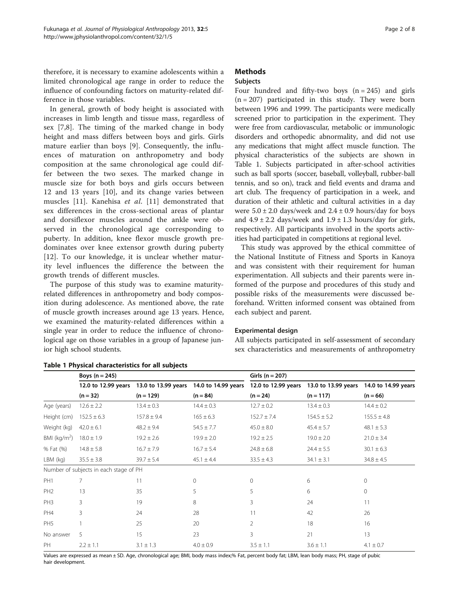<span id="page-1-0"></span>therefore, it is necessary to examine adolescents within a limited chronological age range in order to reduce the influence of confounding factors on maturity-related difference in those variables.

In general, growth of body height is associated with increases in limb length and tissue mass, regardless of sex [\[7](#page-7-0),[8\]](#page-7-0). The timing of the marked change in body height and mass differs between boys and girls. Girls mature earlier than boys [\[9](#page-7-0)]. Consequently, the influences of maturation on anthropometry and body composition at the same chronological age could differ between the two sexes. The marked change in muscle size for both boys and girls occurs between 12 and 13 years [[10\]](#page-7-0), and its change varies between muscles [\[11](#page-7-0)]. Kanehisa et al. [\[11](#page-7-0)] demonstrated that sex differences in the cross-sectional areas of plantar and dorsiflexor muscles around the ankle were observed in the chronological age corresponding to puberty. In addition, knee flexor muscle growth predominates over knee extensor growth during puberty [[12\]](#page-7-0). To our knowledge, it is unclear whether maturity level influences the difference the between the growth trends of different muscles.

The purpose of this study was to examine maturityrelated differences in anthropometry and body composition during adolescence. As mentioned above, the rate of muscle growth increases around age 13 years. Hence, we examined the maturity-related differences within a single year in order to reduce the influence of chronological age on those variables in a group of Japanese junior high school students.

# **Methods**

## Subjects

Four hundred and fifty-two boys  $(n = 245)$  and girls  $(n = 207)$  participated in this study. They were born between 1996 and 1999. The participants were medically screened prior to participation in the experiment. They were free from cardiovascular, metabolic or immunologic disorders and orthopedic abnormality, and did not use any medications that might affect muscle function. The physical characteristics of the subjects are shown in Table 1. Subjects participated in after-school activities such as ball sports (soccer, baseball, volleyball, rubber-ball tennis, and so on), track and field events and drama and art club. The frequency of participation in a week, and duration of their athletic and cultural activities in a day were  $5.0 \pm 2.0$  days/week and  $2.4 \pm 0.9$  hours/day for boys and  $4.9 \pm 2.2$  days/week and  $1.9 \pm 1.3$  hours/day for girls, respectively. All participants involved in the sports activities had participated in competitions at regional level.

This study was approved by the ethical committee of the National Institute of Fitness and Sports in Kanoya and was consistent with their requirement for human experimentation. All subjects and their parents were informed of the purpose and procedures of this study and possible risks of the measurements were discussed beforehand. Written informed consent was obtained from each subject and parent.

#### Experimental design

All subjects participated in self-assessment of secondary sex characteristics and measurements of anthropometry

|                 | Boys $(n = 245)$                       |                     |                     | Girls ( $n = 207$ ) |                                         |                     |  |  |
|-----------------|----------------------------------------|---------------------|---------------------|---------------------|-----------------------------------------|---------------------|--|--|
|                 | 12.0 to 12.99 years                    | 13.0 to 13.99 years | 14.0 to 14.99 years |                     | 12.0 to 12.99 years 13.0 to 13.99 years | 14.0 to 14.99 years |  |  |
|                 | $(n = 32)$                             | $(n = 129)$         | $(n = 84)$          | $(n = 24)$          | $(n = 117)$                             | $(n = 66)$          |  |  |
| Age (years)     | $12.6 \pm 2.2$                         | $13.4 \pm 0.3$      | $14.4 \pm 0.3$      | $12.7 \pm 0.2$      | $13.4 \pm 0.3$                          | $14.4 \pm 0.2$      |  |  |
| Height (cm)     | $152.5 \pm 6.3$                        | $157.8 \pm 9.4$     | $165 \pm 6.3$       | $152.7 \pm 7.4$     | $154.5 \pm 5.2$                         | $155.5 \pm 4.8$     |  |  |
| Weight (kg)     | $42.0 \pm 6.1$                         | $48.2 \pm 9.4$      | $54.5 \pm 7.7$      | $45.0 \pm 8.0$      | $45.4 \pm 5.7$                          | $48.1 \pm 5.3$      |  |  |
| BMI ( $kg/m2$ ) | $18.0 \pm 1.9$                         | $19.2 \pm 2.6$      | $19.9 \pm 2.0$      | $19.2 \pm 2.5$      | $19.0 \pm 2.0$                          | $21.0 \pm 3.4$      |  |  |
| % Fat (%)       | $14.8 \pm 5.8$                         | $16.7 \pm 7.9$      | $16.7 \pm 5.4$      | $24.8 \pm 6.8$      | $24.4 \pm 5.5$                          | $30.1 \pm 6.3$      |  |  |
| $LBM$ (kg)      | $35.5 \pm 3.8$                         | $39.7 \pm 5.4$      | $45.1 \pm 4.4$      | $33.5 \pm 4.3$      | $34.1 \pm 3.1$                          | $34.8 \pm 4.5$      |  |  |
|                 | Number of subjects in each stage of PH |                     |                     |                     |                                         |                     |  |  |
| PH <sub>1</sub> | 7                                      | 11                  | $\mathbf 0$         | $\circ$             | 6                                       | $\mathbf{0}$        |  |  |
| PH <sub>2</sub> | 13                                     | 35                  | 5                   | 5                   | 6                                       | $\mathbf{0}$        |  |  |
| PH <sub>3</sub> | 3                                      | 19                  | 8                   | 3                   | 24                                      | 11                  |  |  |
| PH4             | 3                                      | 24                  | 28                  | 11                  | 42                                      | 26                  |  |  |
| PH <sub>5</sub> |                                        | 25                  | 20                  | $\overline{2}$      | 18                                      | 16                  |  |  |
| No answer       | 5                                      | 15                  | 23                  | 3                   | 21                                      | 13                  |  |  |
| PH              | $2.2 \pm 1.1$                          | $3.1 \pm 1.3$       | $4.0 \pm 0.9$       | $3.5 \pm 1.1$       | $3.6 \pm 1.1$                           | $4.1 \pm 0.7$       |  |  |

# Table 1 Physical characteristics for all subjects

Values are expressed as mean ± SD. Age, chronological age; BMI, body mass index;% Fat, percent body fat; LBM, lean body mass; PH, stage of pubic hair development.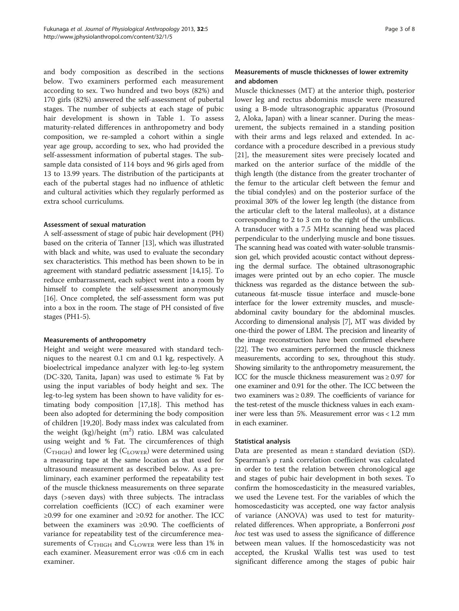and body composition as described in the sections below. Two examiners performed each measurement according to sex. Two hundred and two boys (82%) and 170 girls (82%) answered the self-assessment of pubertal stages. The number of subjects at each stage of pubic hair development is shown in Table [1.](#page-1-0) To assess maturity-related differences in anthropometry and body composition, we re-sampled a cohort within a single year age group, according to sex, who had provided the self-assessment information of pubertal stages. The subsample data consisted of 114 boys and 96 girls aged from 13 to 13.99 years. The distribution of the participants at each of the pubertal stages had no influence of athletic and cultural activities which they regularly performed as extra school curriculums.

#### Assessment of sexual maturation

A self-assessment of stage of pubic hair development (PH) based on the criteria of Tanner [[13\]](#page-7-0), which was illustrated with black and white, was used to evaluate the secondary sex characteristics. This method has been shown to be in agreement with standard pediatric assessment [\[14,15\]](#page-7-0). To reduce embarrassment, each subject went into a room by himself to complete the self-assessment anonymously [[16](#page-7-0)]. Once completed, the self-assessment form was put into a box in the room. The stage of PH consisted of five stages (PH1-5).

#### Measurements of anthropometry

Height and weight were measured with standard techniques to the nearest 0.1 cm and 0.1 kg, respectively. A bioelectrical impedance analyzer with leg-to-leg system (DC-320, Tanita, Japan) was used to estimate % Fat by using the input variables of body height and sex. The leg-to-leg system has been shown to have validity for estimating body composition [\[17,18](#page-7-0)]. This method has been also adopted for determining the body composition of children [\[19,20\]](#page-7-0). Body mass index was calculated from the weight  $(kg)/height$   $(m<sup>2</sup>)$  ratio. LBM was calculated using weight and % Fat. The circumferences of thigh  $(C_{THIGH})$  and lower leg  $(C_{LOWER})$  were determined using a measuring tape at the same location as that used for ultrasound measurement as described below. As a preliminary, each examiner performed the repeatability test of the muscle thickness measurements on three separate days (>seven days) with three subjects. The intraclass correlation coefficients (ICC) of each examiner were ≥0.99 for one examiner and ≥0.92 for another. The ICC between the examiners was ≥0.90. The coefficients of variance for repeatability test of the circumference measurements of  $C_{THIGH}$  and  $C_{LOWER}$  were less than 1% in each examiner. Measurement error was <0.6 cm in each examiner.

## Measurements of muscle thicknesses of lower extremity and abdomen

Muscle thicknesses (MT) at the anterior thigh, posterior lower leg and rectus abdominis muscle were measured using a B-mode ultrasonographic apparatus (Prosound 2, Aloka, Japan) with a linear scanner. During the measurement, the subjects remained in a standing position with their arms and legs relaxed and extended. In accordance with a procedure described in a previous study [[21\]](#page-7-0), the measurement sites were precisely located and marked on the anterior surface of the middle of the thigh length (the distance from the greater trochanter of the femur to the articular cleft between the femur and the tibial condyles) and on the posterior surface of the proximal 30% of the lower leg length (the distance from the articular cleft to the lateral malleolus), at a distance corresponding to 2 to 3 cm to the right of the umbilicus. A transducer with a 7.5 MHz scanning head was placed perpendicular to the underlying muscle and bone tissues. The scanning head was coated with water-soluble transmission gel, which provided acoustic contact without depressing the dermal surface. The obtained ultrasonographic images were printed out by an echo copier. The muscle thickness was regarded as the distance between the subcutaneous fat-muscle tissue interface and muscle-bone interface for the lower extremity muscles, and muscleabdominal cavity boundary for the abdominal muscles. According to dimensional analysis [\[7](#page-7-0)], MT was divided by one-third the power of LBM. The precision and linearity of the image reconstruction have been confirmed elsewhere [[22](#page-7-0)]. The two examiners performed the muscle thickness measurements, according to sex, throughout this study. Showing similarity to the anthropometry measurement, the ICC for the muscle thickness measurement was ≥ 0.97 for one examiner and 0.91 for the other. The ICC between the two examiners was ≥ 0.89. The coefficients of variance for the test-retest of the muscle thickness values in each examiner were less than 5%. Measurement error was < 1.2 mm in each examiner.

#### Statistical analysis

Data are presented as mean ± standard deviation (SD). Spearman's ρ rank correlation coefficient was calculated in order to test the relation between chronological age and stages of pubic hair development in both sexes. To confirm the homoscedasticity in the measured variables, we used the Levene test. For the variables of which the homoscedasticity was accepted, one way factor analysis of variance (ANOVA) was used to test for maturityrelated differences. When appropriate, a Bonferroni post hoc test was used to assess the significance of difference between mean values. If the homoscedasticity was not accepted, the Kruskal Wallis test was used to test significant difference among the stages of pubic hair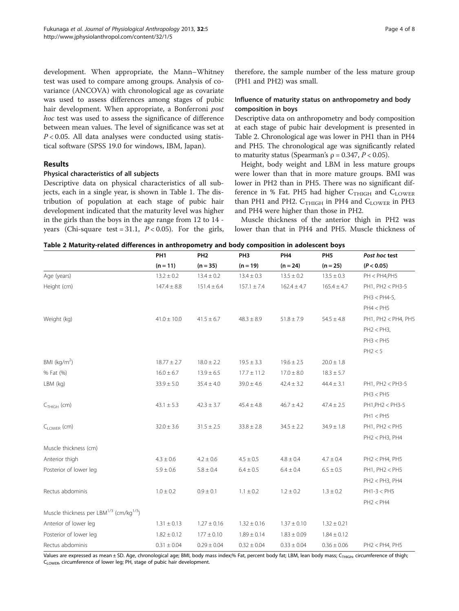<span id="page-3-0"></span>development. When appropriate, the Mann–Whitney test was used to compare among groups. Analysis of covariance (ANCOVA) with chronological age as covariate was used to assess differences among stages of pubic hair development. When appropriate, a Bonferroni post hoc test was used to assess the significance of difference between mean values. The level of significance was set at  $P < 0.05$ . All data analyses were conducted using statistical software (SPSS 19.0 for windows, IBM, Japan).

#### Results

#### Physical characteristics of all subjects

Descriptive data on physical characteristics of all subjects, each in a single year, is shown in Table [1](#page-1-0). The distribution of population at each stage of pubic hair development indicated that the maturity level was higher in the girls than the boys in the age range from 12 to 14 years (Chi-square test = 31.1,  $P < 0.05$ ). For the girls, therefore, the sample number of the less mature group (PH1 and PH2) was small.

#### Influence of maturity status on anthropometry and body composition in boys

Descriptive data on anthropometry and body composition at each stage of pubic hair development is presented in Table 2. Chronological age was lower in PH1 than in PH4 and PH5. The chronological age was significantly related to maturity status (Spearman's  $\rho = 0.347$ ,  $P < 0.05$ ).

Height, body weight and LBM in less mature groups were lower than that in more mature groups. BMI was lower in PH2 than in PH5. There was no significant difference in % Fat. PH5 had higher  $C_{THIGH}$  and  $C_{LOWER}$ than PH1 and PH2.  $C_{THIGH}$  in PH4 and  $C_{LOWER}$  in PH3 and PH4 were higher than those in PH2.

Muscle thickness of the anterior thigh in PH2 was lower than that in PH4 and PH5. Muscle thickness of

|  |  |  | Table 2 Maturity-related differences in anthropometry and body composition in adolescent boys |
|--|--|--|-----------------------------------------------------------------------------------------------|
|--|--|--|-----------------------------------------------------------------------------------------------|

|                                                                 | PH <sub>1</sub> | PH <sub>2</sub> | PH <sub>3</sub> | PH <sub>4</sub> | PH <sub>5</sub> | Post hoc test       |
|-----------------------------------------------------------------|-----------------|-----------------|-----------------|-----------------|-----------------|---------------------|
|                                                                 | $(n = 11)$      | $(n = 35)$      | $(n = 19)$      | $(n = 24)$      | $(n = 25)$      | (P < 0.05)          |
| Age (years)                                                     | $13.2 \pm 0.2$  | $13.4 \pm 0.2$  | $13.4 \pm 0.3$  | $13.5 \pm 0.2$  | $13.5 \pm 0.3$  | PH < PH4,PH5        |
| Height (cm)                                                     | $147.4 \pm 8.8$ | $151.4 \pm 6.4$ | $157.1 \pm 7.4$ | $162.4 \pm 4.7$ | $165.4 \pm 4.7$ | PH1, PH2 < PH3-5    |
|                                                                 |                 |                 |                 |                 |                 | $PH3 < PH4-5$ ,     |
|                                                                 |                 |                 |                 |                 |                 | PH4 < PH5           |
| Weight (kg)                                                     | $41.0 \pm 10.0$ | $41.5 \pm 6.7$  | $48.3 \pm 8.9$  | $51.8 \pm 7.9$  | $54.5 \pm 4.8$  | PH1, PH2 < PH4, PH5 |
|                                                                 |                 |                 |                 |                 |                 | $PH2 < PH3$ ,       |
|                                                                 |                 |                 |                 |                 |                 | PH3 < PH5           |
|                                                                 |                 |                 |                 |                 |                 | PH2 < 5             |
| BMI ( $kg/m2$ )                                                 | $18.77 \pm 2.7$ | $18.0 \pm 2.2$  | $19.5 \pm 3.3$  | $19.6 \pm 2.5$  | $20.0 \pm 1.8$  |                     |
| % Fat (%)                                                       | $16.0 \pm 6.7$  | $13.9 \pm 6.5$  | $17.7 \pm 11.2$ | $17.0 \pm 8.0$  | $18.3 \pm 5.7$  |                     |
| LBM (kg)                                                        | $33.9 \pm 5.0$  | $35.4 \pm 4.0$  | $39.0 \pm 4.6$  | $42.4 \pm 3.2$  | $44.4 \pm 3.1$  | PH1, PH2 < PH3-5    |
|                                                                 |                 |                 |                 |                 |                 | PH3 < PH5           |
| $CTHIGH$ (cm)                                                   | $43.1 \pm 5.3$  | $42.3 \pm 3.7$  | $45.4 \pm 4.8$  | $46.7 \pm 4.2$  | $47.4 \pm 2.5$  | PH1, PH2 < PH3-5    |
|                                                                 |                 |                 |                 |                 |                 | PH1 < PH5           |
| C <sub>LOWER</sub> (cm)                                         | $32.0 \pm 3.6$  | $31.5\pm2.5$    | $33.8 \pm 2.8$  | $34.5 \pm 2.2$  | $34.9 \pm 1.8$  | PH1, PH2 < PH5      |
|                                                                 |                 |                 |                 |                 |                 | $PH2 < PH3$ , $PH4$ |
| Muscle thickness (cm)                                           |                 |                 |                 |                 |                 |                     |
| Anterior thigh                                                  | $4.3 \pm 0.6$   | $4.2 \pm 0.6$   | $4.5 \pm 0.5$   | $4.8 \pm 0.4$   | $4.7 \pm 0.4$   | PH2 < PH4, PH5      |
| Posterior of lower leg                                          | $5.9\pm0.6$     | $5.8 \pm 0.4$   | $6.4 \pm 0.5$   | $6.4 \pm 0.4$   | $6.5 \pm 0.5$   | PH1, PH2 < PH5      |
|                                                                 |                 |                 |                 |                 |                 | $PH2 < PH3$ , $PH4$ |
| Rectus abdominis                                                | $1.0 \pm 0.2$   | $0.9 \pm 0.1$   | $1.1 \pm 0.2$   | $1.2 \pm 0.2$   | $1.3 \pm 0.2$   | $PH1-3 < PH5$       |
|                                                                 |                 |                 |                 |                 |                 | PH2 < PH4           |
| Muscle thickness per LBM <sup>1/3</sup> (cm/kg <sup>1/3</sup> ) |                 |                 |                 |                 |                 |                     |
| Anterior of lower leg                                           | $1.31 \pm 0.13$ | $1.27 \pm 0.16$ | $1.32 \pm 0.16$ | $1.37 \pm 0.10$ | $1.32 \pm 0.21$ |                     |
| Posterior of lower leg                                          | $1.82 \pm 0.12$ | $177 \pm 0.10$  | $1.89 \pm 0.14$ | $1.83 \pm 0.09$ | $1.84 \pm 0.12$ |                     |
| Rectus abdominis                                                | $0.31 \pm 0.04$ | $0.29 \pm 0.04$ | $0.32 \pm 0.04$ | $0.33 \pm 0.04$ | $0.36 \pm 0.06$ | PH2 < PH4, PH5      |

Values are expressed as mean ± SD. Age, chronological age; BMI, body mass index;% Fat, percent body fat; LBM, lean body mass; C<sub>THIGH</sub>, circumference of thigh; CLOWER, circumference of lower leg; PH, stage of pubic hair development.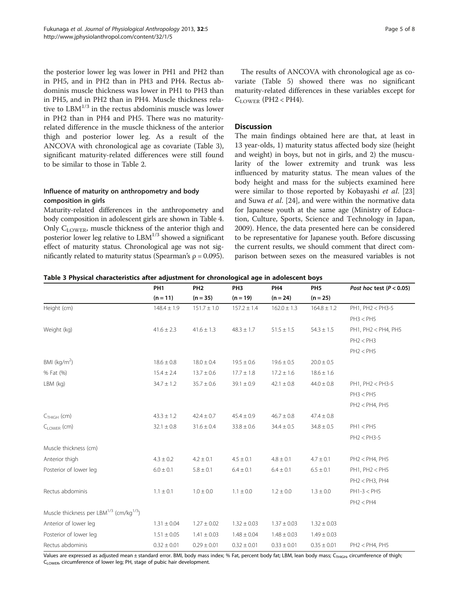the posterior lower leg was lower in PH1 and PH2 than in PH5, and in PH2 than in PH3 and PH4. Rectus abdominis muscle thickness was lower in PH1 to PH3 than in PH5, and in PH2 than in PH4. Muscle thickness relative to  $\text{LBM}^{1/3}$  in the rectus abdominis muscle was lower in PH2 than in PH4 and PH5. There was no maturityrelated difference in the muscle thickness of the anterior thigh and posterior lower leg. As a result of the ANCOVA with chronological age as covariate (Table 3), significant maturity-related differences were still found to be similar to those in Table [2.](#page-3-0)

# Influence of maturity on anthropometry and body composition in girls

Maturity-related differences in the anthropometry and body composition in adolescent girls are shown in Table [4](#page-5-0). Only  $C_{\text{LOWER}}$ , muscle thickness of the anterior thigh and posterior lower leg relative to  $LBM^{1/3}$  showed a significant effect of maturity status. Chronological age was not significantly related to maturity status (Spearman's  $\rho = 0.095$ ).

The results of ANCOVA with chronological age as covariate (Table [5\)](#page-5-0) showed there was no significant maturity-related differences in these variables except for  $C_{LOWER}$  (PH2 < PH4).

#### **Discussion**

The main findings obtained here are that, at least in 13 year-olds, 1) maturity status affected body size (height and weight) in boys, but not in girls, and 2) the muscularity of the lower extremity and trunk was less influenced by maturity status. The mean values of the body height and mass for the subjects examined here were similar to those reported by Kobayashi et al. [[23](#page-7-0)] and Suwa et al. [[24\]](#page-7-0), and were within the normative data for Japanese youth at the same age (Ministry of Education, Culture, Sports, Science and Technology in Japan, 2009). Hence, the data presented here can be considered to be representative for Japanese youth. Before discussing the current results, we should comment that direct comparison between sexes on the measured variables is not

Table 3 Physical characteristics after adjustment for chronological age in adolescent boys

|                                                                 | PH <sub>1</sub> | PH <sub>2</sub> | PH <sub>3</sub> | PH <sub>4</sub> | PH <sub>5</sub> | Post hoc test ( $P < 0.05$ ) |
|-----------------------------------------------------------------|-----------------|-----------------|-----------------|-----------------|-----------------|------------------------------|
|                                                                 | $(n = 11)$      | $(n = 35)$      | $(n = 19)$      | $(n = 24)$      | $(n = 25)$      |                              |
| Height (cm)                                                     | $148.4 \pm 1.9$ | $151.7 \pm 1.0$ | $157.2 \pm 1.4$ | $162.0 \pm 1.3$ | $164.8 \pm 1.2$ | PH1, PH2 < PH3-5             |
|                                                                 |                 |                 |                 |                 |                 | PH3 < PH5                    |
| Weight (kg)                                                     | $41.6 \pm 2.3$  | $41.6 \pm 1.3$  | $48.3 \pm 1.7$  | $51.5 \pm 1.5$  | $54.3 \pm 1.5$  | PH1, PH2 < PH4, PH5          |
|                                                                 |                 |                 |                 |                 |                 | PH2 < PH3                    |
|                                                                 |                 |                 |                 |                 |                 | PH2 < PH5                    |
| BMI ( $kg/m2$ )                                                 | $18.6 \pm 0.8$  | $18.0 \pm 0.4$  | $19.5 \pm 0.6$  | $19.6 \pm 0.5$  | $20.0 \pm 0.5$  |                              |
| % Fat (%)                                                       | $15.4 \pm 2.4$  | $13.7 \pm 0.6$  | $17.7 \pm 1.8$  | $17.2 \pm 1.6$  | $18.6 \pm 1.6$  |                              |
| LBM (kg)                                                        | $34.7 \pm 1.2$  | $35.7 \pm 0.6$  | $39.1 \pm 0.9$  | $42.1 \pm 0.8$  | $44.0 \pm 0.8$  | PH1, PH2 < PH3-5             |
|                                                                 |                 |                 |                 |                 |                 | PH3 < PH5                    |
|                                                                 |                 |                 |                 |                 |                 | PH2 < PH4, PH5               |
| $C_{THIGH}$ (cm)                                                | $43.3 \pm 1.2$  | $42.4 \pm 0.7$  | $45.4 \pm 0.9$  | $46.7 \pm 0.8$  | $47.4 \pm 0.8$  |                              |
| C <sub>LOWER</sub> (cm)                                         | $32.1 \pm 0.8$  | $31.6 \pm 0.4$  | $33.8 \pm 0.6$  | $34.4 \pm 0.5$  | $34.8 \pm 0.5$  | PH1 < PH5                    |
|                                                                 |                 |                 |                 |                 |                 | $PH2 < PH3-5$                |
| Muscle thickness (cm)                                           |                 |                 |                 |                 |                 |                              |
| Anterior thigh                                                  | $4.3 \pm 0.2$   | $4.2 \pm 0.1$   | $4.5 \pm 0.1$   | $4.8 \pm 0.1$   | $4.7 \pm 0.1$   | PH2 < PH4, PH5               |
| Posterior of lower leg                                          | $6.0 \pm 0.1$   | $5.8 \pm 0.1$   | $6.4 \pm 0.1$   | $6.4 \pm 0.1$   | $6.5 \pm 0.1$   | PH1, PH2 < PH5               |
|                                                                 |                 |                 |                 |                 |                 | $PH2 < PH3$ , $PH4$          |
| Rectus abdominis                                                | $1.1 \pm 0.1$   | $1.0 \pm 0.0$   | $1.1 \pm 0.0$   | $1.2 \pm 0.0$   | $1.3 \pm 0.0$   | $PH1-3 < PH5$                |
|                                                                 |                 |                 |                 |                 |                 | PH2 < PH4                    |
| Muscle thickness per LBM <sup>1/3</sup> (cm/kg <sup>1/3</sup> ) |                 |                 |                 |                 |                 |                              |
| Anterior of lower leg                                           | $1.31 \pm 0.04$ | $1.27 \pm 0.02$ | $1.32 \pm 0.03$ | $1.37 \pm 0.03$ | $1.32 \pm 0.03$ |                              |
| Posterior of lower leg                                          | $1.51 \pm 0.05$ | $1.41 \pm 0.03$ | $1.48 \pm 0.04$ | $1.48 \pm 0.03$ | $1.49 \pm 0.03$ |                              |
| Rectus abdominis                                                | $0.32 \pm 0.01$ | $0.29 \pm 0.01$ | $0.32 \pm 0.01$ | $0.33 \pm 0.01$ | $0.35 \pm 0.01$ | PH2 < PH4, PH5               |

Values are expressed as adjusted mean ± standard error. BMI, body mass index; % Fat, percent body fat; LBM, lean body mass; C<sub>THIGH</sub>, circumference of thigh; CLOWER, circumference of lower leg; PH, stage of pubic hair development.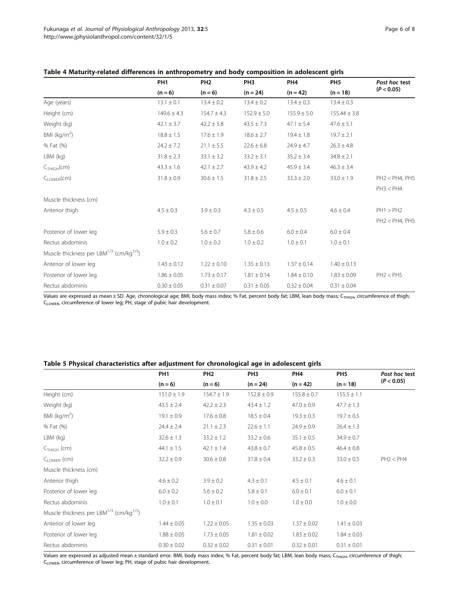| Page 6 of 8 |  |  |
|-------------|--|--|
|             |  |  |

<span id="page-5-0"></span>

| Table 4 Maturity-related differences in anthropometry and body composition in adolescent girls |  |
|------------------------------------------------------------------------------------------------|--|
|------------------------------------------------------------------------------------------------|--|

|                                                                 | PH <sub>1</sub><br>$(n = 6)$ | PH <sub>2</sub><br>$(n = 6)$ | PH <sub>3</sub><br>$(n = 24)$ | PH <sub>4</sub><br>$(n = 42)$ | PH <sub>5</sub><br>$(n = 18)$ | Post hoc test  |
|-----------------------------------------------------------------|------------------------------|------------------------------|-------------------------------|-------------------------------|-------------------------------|----------------|
|                                                                 |                              |                              |                               |                               |                               | (P < 0.05)     |
| Age (years)                                                     | $13.1 \pm 0.1$               | $13.4 \pm 0.2$               | $13.4 \pm 0.2$                | $13.4 \pm 0.3$                | $13.4 \pm 0.3$                |                |
| Height (cm)                                                     | $149.6 \pm 4.3$              | $154.7 \pm 4.3$              | $152.9 \pm 5.0$               | $155.9 \pm 5.0$               | $155.44 \pm 3.8$              |                |
| Weight (kg)                                                     | $42.1 \pm 3.7$               | $42.2 \pm 5.8$               | $43.5 \pm 7.3$                | $47.1 \pm 5.4$                | $47.6 \pm 5.1$                |                |
| BMI ( $kg/m2$ )                                                 | $18.8 \pm 1.5$               | $17.6 \pm 1.9$               | $18.6 \pm 2.7$                | $19.4 \pm 1.8$                | $19.7 \pm 2.1$                |                |
| % Fat (%)                                                       | $24.2 \pm 7.2$               | $21.1 \pm 5.5$               | $22.6 \pm 6.8$                | $24.9 \pm 4.7$                | $26.3 \pm 4.8$                |                |
| $LBM$ (kg)                                                      | $31.8 \pm 2.3$               | $33.1 \pm 3.2$               | $33.2 \pm 3.1$                | $35.2 \pm 3.4$                | $34.8 \pm 2.1$                |                |
| C <sub>THIGH</sub> (cm)                                         | $43.3 \pm 1.6$               | $42.1 \pm 2.7$               | $43.9 \pm 4.2$                | $45.9 \pm 3.4$                | $46.3 \pm 3.4$                |                |
| $C_{I\text{OWFR}}(cm)$                                          | $31.8 \pm 0.9$               | $30.6 \pm 1.5$               | $31.8 \pm 2.5$                | $33.3 \pm 2.0$                | $33.0 \pm 1.9$                | PH2 < PH4, PH5 |
|                                                                 |                              |                              |                               |                               |                               | PH3 < PH4      |
| Muscle thickness (cm)                                           |                              |                              |                               |                               |                               |                |
| Anterior thigh                                                  | $4.5 \pm 0.3$                | $3.9 \pm 0.3$                | $4.3 \pm 0.5$                 | $4.5 \pm 0.5$                 | $4.6 \pm 0.4$                 | PH1 > PH2      |
|                                                                 |                              |                              |                               |                               |                               | PH2 < PH4, PH5 |
| Posterior of lower leg                                          | $5.9 \pm 0.3$                | $5.6 \pm 0.7$                | $5.8 \pm 0.6$                 | $6.0 \pm 0.4$                 | $6.0 \pm 0.4$                 |                |
| Rectus abdominis                                                | $1.0 \pm 0.2$                | $1.0 \pm 0.2$                | $1.0 \pm 0.2$                 | $1.0 \pm 0.1$                 | $1.0 \pm 0.1$                 |                |
| Muscle thickness per LBM <sup>1/3</sup> (cm/kg <sup>1/3</sup> ) |                              |                              |                               |                               |                               |                |
| Anterior of lower leg                                           | $1.43 \pm 0.12$              | $1.22 \pm 0.10$              | $1.35 \pm 0.13$               | $1.37 \pm 0.14$               | $1.40 \pm 0.13$               |                |
| Posterior of lower leg                                          | $1.86 \pm 0.05$              | $1.73 \pm 0.17$              | $1.81 \pm 0.14$               | $1.84 \pm 0.10$               | $1.83 \pm 0.09$               | PH2 < PH5      |
| Rectus abdominis                                                | $0.30 \pm 0.05$              | $0.31 \pm 0.07$              | $0.31 \pm 0.05$               | $0.32 \pm 0.04$               | $0.31 \pm 0.04$               |                |

Values are expressed as mean ± SD. Age, chronological age; BMI, body mass index; % Fat, percent body fat; LBM, lean body mass; C<sub>THIGH</sub>, circumference of thigh; C<sub>LOWER</sub>, circumference of lower leg; PH, stage of pubic hair development.

## Table 5 Physical characteristics after adjustment for chronological age in adolescent girls

|                                                     | PH <sub>1</sub><br>$(n = 6)$ | PH <sub>2</sub><br>$(n = 6)$ | PH <sub>3</sub> | PH <sub>4</sub> | PH <sub>5</sub><br>$(n = 18)$ | Post hoc test<br>(P < 0.05) |
|-----------------------------------------------------|------------------------------|------------------------------|-----------------|-----------------|-------------------------------|-----------------------------|
|                                                     |                              |                              | $(n = 24)$      | $(n = 42)$      |                               |                             |
| Height (cm)                                         | $151.0 \pm 1.9$              | $154.7 \pm 1.9$              | $152.8 \pm 0.9$ | $155.8 \pm 0.7$ | $155.5 \pm 1.1$               |                             |
| Weight (kg)                                         | $43.5 \pm 2.4$               | $42.2 \pm 2.3$               | $43.4 \pm 1.2$  | $47.0 \pm 0.9$  | $47.7 \pm 1.3$                |                             |
| BMI ( $kg/m2$ )                                     | $19.1 \pm 0.9$               | $17.6 \pm 0.8$               | $18.5 \pm 0.4$  | $19.3 \pm 0.3$  | $19.7 \pm 0.5$                |                             |
| % Fat (%)                                           | $24.4 \pm 2.4$               | $21.1 \pm 2.3$               | $22.6 \pm 1.1$  | $24.9 \pm 0.9$  | $26.4 \pm 1.3$                |                             |
| $LBM$ (kg)                                          | $32.6 \pm 1.3$               | $33.2 \pm 1.2$               | $33.2 \pm 0.6$  | $35.1 \pm 0.5$  | $34.9 \pm 0.7$                |                             |
| $CTHIGH$ (cm)                                       | $44.1 \pm 1.5$               | $42.1 \pm 1.4$               | $43.8 \pm 0.7$  | $45.8 \pm 0.5$  | $46.4 \pm 0.8$                |                             |
| $C_{I \text{OWFR}}$ (cm)                            | $32.2 \pm 0.9$               | $30.6 \pm 0.8$               | $31.8 \pm 0.4$  | $33.2 \pm 0.3$  | $33.0 \pm 0.5$                | PH2 < PH4                   |
| Muscle thickness (cm)                               |                              |                              |                 |                 |                               |                             |
| Anterior thigh                                      | $4.6 \pm 0.2$                | $3.9 \pm 0.2$                | $4.3 \pm 0.1$   | $4.5 \pm 0.1$   | $4.6 \pm 0.1$                 |                             |
| Posterior of lower leg                              | $6.0 \pm 0.2$                | $5.6 \pm 0.2$                | $5.8 \pm 0.1$   | $6.0 \pm 0.1$   | $6.0 \pm 0.1$                 |                             |
| Rectus abdominis                                    | $1.0 \pm 0.1$                | $1.0 \pm 0.1$                | $1.0 \pm 0.0$   | $1.0 \pm 0.0$   | $1.0 \pm 0.0$                 |                             |
| Muscle thickness per LBM $^{1/3}$ (cm/kg $^{1/3}$ ) |                              |                              |                 |                 |                               |                             |
| Anterior of lower leg                               | $1.44 \pm 0.05$              | $1.22 \pm 0.05$              | $1.35 \pm 0.03$ | $1.37 \pm 0.02$ | $1.41 \pm 0.03$               |                             |
| Posterior of lower leg                              | $1.88 \pm 0.05$              | $1.73 \pm 0.05$              | $1.81 \pm 0.02$ | $1.83 \pm 0.02$ | $1.84 \pm 0.03$               |                             |
| Rectus abdominis                                    | $0.30 \pm 0.02$              | $0.32 \pm 0.02$              | $0.31 \pm 0.01$ | $0.32 \pm 0.01$ | $0.31 \pm 0.01$               |                             |

Values are expressed as adjusted mean ± standard error. BMI, body mass index; % Fat, percent body fat; LBM, lean body mass; C<sub>THIGH</sub>, circumference of thigh; CLOWER, circumference of lower leg; PH, stage of pubic hair development.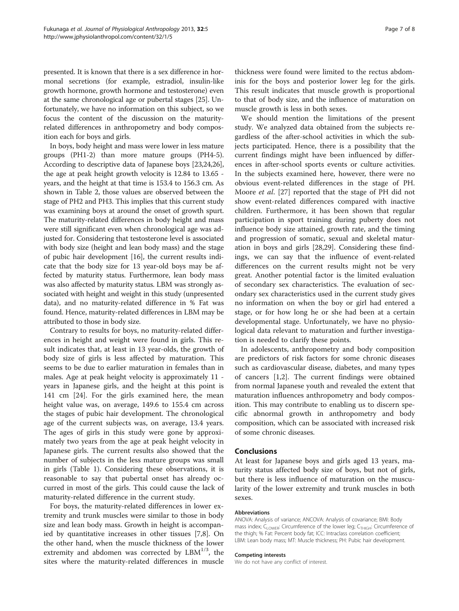presented. It is known that there is a sex difference in hormonal secretions (for example, estradiol, insulin-like growth hormone, growth hormone and testosterone) even at the same chronological age or pubertal stages [[25](#page-7-0)]. Unfortunately, we have no information on this subject, so we focus the content of the discussion on the maturityrelated differences in anthropometry and body composition each for boys and girls.

In boys, body height and mass were lower in less mature groups (PH1-2) than more mature groups (PH4-5). According to descriptive data of Japanese boys [\[23,24,26](#page-7-0)], the age at peak height growth velocity is 12.84 to 13.65 years, and the height at that time is 153.4 to 156.3 cm. As shown in Table [2,](#page-3-0) those values are observed between the stage of PH2 and PH3. This implies that this current study was examining boys at around the onset of growth spurt. The maturity-related differences in body height and mass were still significant even when chronological age was adjusted for. Considering that testosterone level is associated with body size (height and lean body mass) and the stage of pubic hair development [[16](#page-7-0)], the current results indicate that the body size for 13 year-old boys may be affected by maturity status. Furthermore, lean body mass was also affected by maturity status. LBM was strongly associated with height and weight in this study (unpresented data), and no maturity-related difference in % Fat was found. Hence, maturity-related differences in LBM may be attributed to those in body size.

Contrary to results for boys, no maturity-related differences in height and weight were found in girls. This result indicates that, at least in 13 year-olds, the growth of body size of girls is less affected by maturation. This seems to be due to earlier maturation in females than in males. Age at peak height velocity is approximately 11 years in Japanese girls, and the height at this point is 141 cm [\[24\]](#page-7-0). For the girls examined here, the mean height value was, on average, 149.6 to 155.4 cm across the stages of pubic hair development. The chronological age of the current subjects was, on average, 13.4 years. The ages of girls in this study were gone by approximately two years from the age at peak height velocity in Japanese girls. The current results also showed that the number of subjects in the less mature groups was small in girls (Table [1\)](#page-1-0). Considering these observations, it is reasonable to say that pubertal onset has already occurred in most of the girls. This could cause the lack of maturity-related difference in the current study.

For boys, the maturity-related differences in lower extremity and trunk muscles were similar to those in body size and lean body mass. Growth in height is accompanied by quantitative increases in other tissues [[7](#page-7-0),[8\]](#page-7-0). On the other hand, when the muscle thickness of the lower extremity and abdomen was corrected by  $LBM^{1/3}$ , the sites where the maturity-related differences in muscle thickness were found were limited to the rectus abdominis for the boys and posterior lower leg for the girls. This result indicates that muscle growth is proportional to that of body size, and the influence of maturation on muscle growth is less in both sexes.

We should mention the limitations of the present study. We analyzed data obtained from the subjects regardless of the after-school activities in which the subjects participated. Hence, there is a possibility that the current findings might have been influenced by differences in after-school sports events or culture activities. In the subjects examined here, however, there were no obvious event-related differences in the stage of PH. Moore et al. [[27\]](#page-7-0) reported that the stage of PH did not show event-related differences compared with inactive children. Furthermore, it has been shown that regular participation in sport training during puberty does not influence body size attained, growth rate, and the timing and progression of somatic, sexual and skeletal maturation in boys and girls [[28,29](#page-7-0)]. Considering these findings, we can say that the influence of event-related differences on the current results might not be very great. Another potential factor is the limited evaluation of secondary sex characteristics. The evaluation of secondary sex characteristics used in the current study gives no information on when the boy or girl had entered a stage, or for how long he or she had been at a certain developmental stage. Unfortunately, we have no physiological data relevant to maturation and further investigation is needed to clarify these points.

In adolescents, anthropometry and body composition are predictors of risk factors for some chronic diseases such as cardiovascular disease, diabetes, and many types of cancers [\[1,2](#page-7-0)]. The current findings were obtained from normal Japanese youth and revealed the extent that maturation influences anthropometry and body composition. This may contribute to enabling us to discern specific abnormal growth in anthropometry and body composition, which can be associated with increased risk of some chronic diseases.

#### Conclusions

At least for Japanese boys and girls aged 13 years, maturity status affected body size of boys, but not of girls, but there is less influence of maturation on the muscularity of the lower extremity and trunk muscles in both sexes.

#### Abbreviations

ANOVA: Analysis of variance; ANCOVA: Analysis of covariance; BMI: Body mass index; C<sub>LOWER</sub>: Circumference of the lower leg; C<sub>THIGH</sub>: Circumference of the thigh; % Fat: Percent body fat; ICC: Intraclass correlation coefficient; LBM: Lean body mass; MT: Muscle thickness; PH: Pubic hair development.

#### Competing interests

We do not have any conflict of interest.